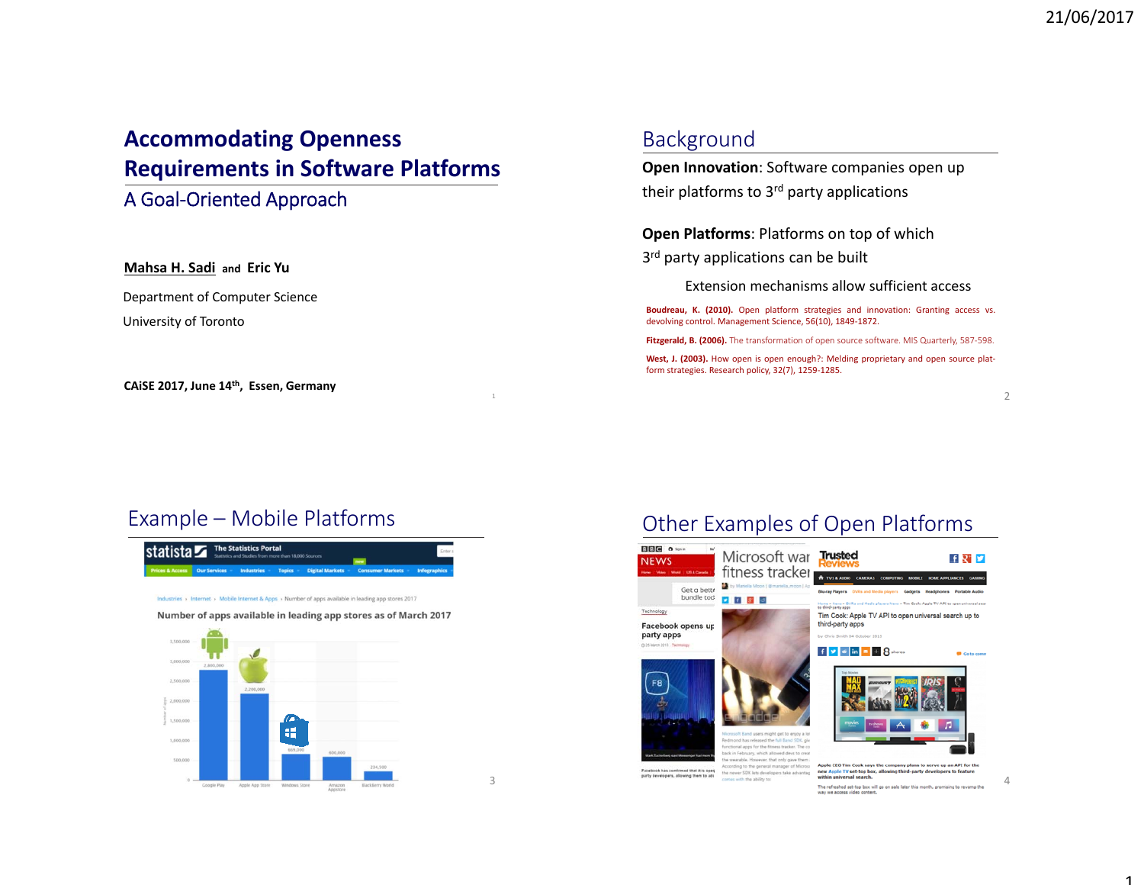# **Accommodating Openness Requirements in Software Platforms**

#### A Goal‐Oriented Approach

#### **Mahsa H. Sadi and Eric Yu**

Department of Computer Science University of Toronto

**CAiSE 2017, June 14th, Essen, Germany**

#### Background

**Open Innovation**: Software companies open up their platforms to 3<sup>rd</sup> party applications

#### **Open Platforms**: Platforms on top of which

3<sup>rd</sup> party applications can be built

Extension mechanisms allow sufficient access

**Boudreau, K. (2010).** Open platform strategies and innovation: Granting access vs. devolving control. Management Science, 56(10), 1849‐1872.

**Fitzgerald, B. (2006).** The transformation of open source software. MIS Quarterly, 587‐598.

**West, J. (2003).** How open is open enough?: Melding proprietary and open source plat‐ form strategies. Research policy, 32(7), 1259‐1285.

2

## Example – Mobile Platforms



3

Other Examples of Open Platforms



4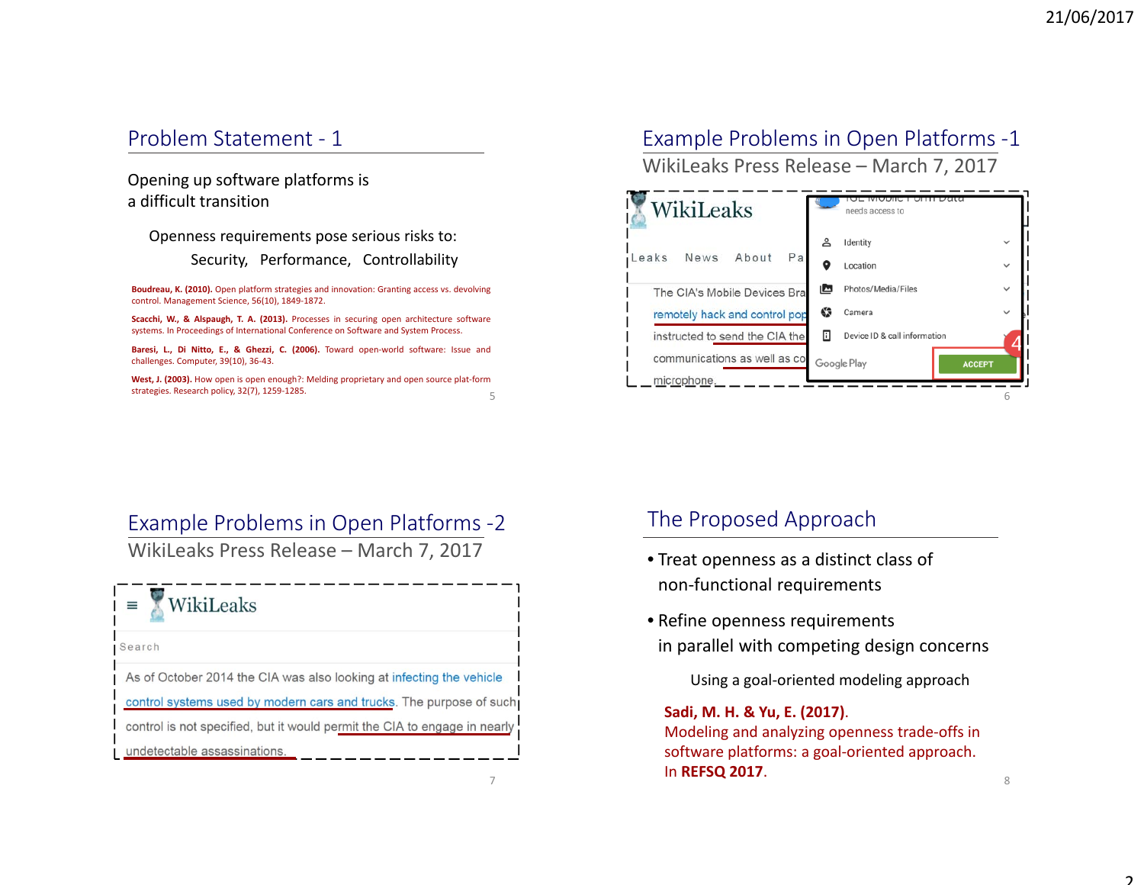### Problem Statement ‐ 1

Opening up software platforms is a difficult transition

Openness requirements pose serious risks to: Security, Performance, Controllability

**Boudreau, K. (2010).** Open platform strategies and innovation: Granting access vs. devolving control. Management Science, 56(10), 1849‐1872.

**Scacchi, W., & Alspaugh, T. A. (2013).** Processes in securing open architecture software systems. In Proceedings of International Conference on Software and System Process.

**Baresi, L., Di Nitto, E., & Ghezzi, C. (2006).** Toward open‐world software: Issue and challenges. Computer, 39(10), 36‐43.

5**West, J. (2003).** How open is open enough?: Melding proprietary and open source plat‐form strategies. Research policy, 32(7), 1259‐1285.

# Example Problems in Open Platforms ‐1

WikiLeaks Press Release – March 7, 2017



#### Example Problems in Open Platforms ‐2

WikiLeaks Press Release – March 7, 2017

#### WikiLeaks Ξ

Search

As of October 2014 the CIA was also looking at infecting the vehicle control systems used by modern cars and trucks. The purpose of such control is not specified, but it would permit the CIA to engage in nearly undetectable assassinations.

7

#### The Proposed Approach

- Treat openness as <sup>a</sup> distinct class of non‐functional requirements
- Refine openness requirements in parallel with competing design concerns

Using <sup>a</sup> goal‐oriented modeling approach

**Sadi, M. H. & Yu, E. (2017)**. Modeling and analyzing openness trade‐offs in software platforms: <sup>a</sup> goal‐oriented approach. In **REFSQ 2017**.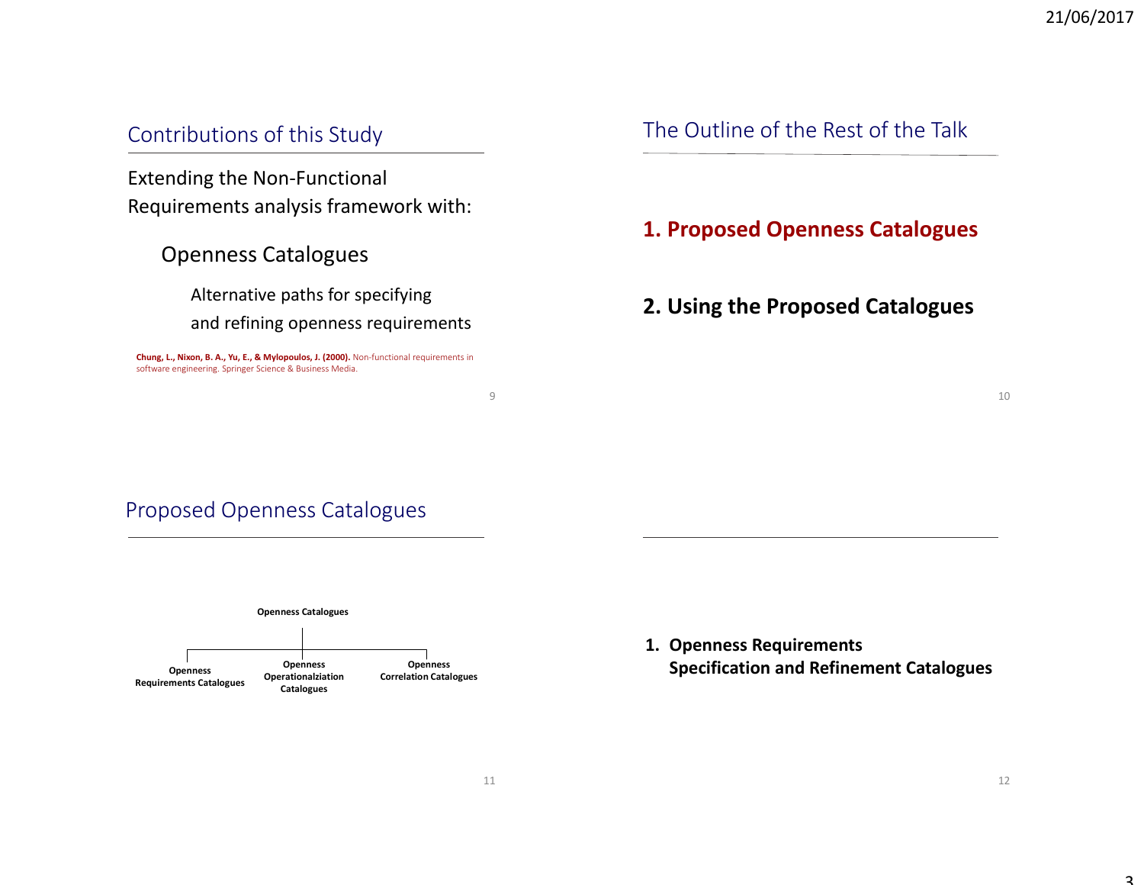#### Contributions of this Study

Extending the Non‐Functional Requirements analysis framework with:

Openness Catalogues

Alternative paths for specifying and refining openness requirements

**Chung, L., Nixon, B. A., Yu, E., & Mylopoulos, J. (2000).** Non‐functional requirements in software engineering. Springer Science & Business Media.

## The Outline of the Rest of the Talk

**1. Proposed Openness Catalogues**

#### **2. Using the Proposed Catalogues**

10

## Proposed Openness Catalogues



**1. Openness Requirements Specification and Refinement Catalogues**

9

 $\overline{a}$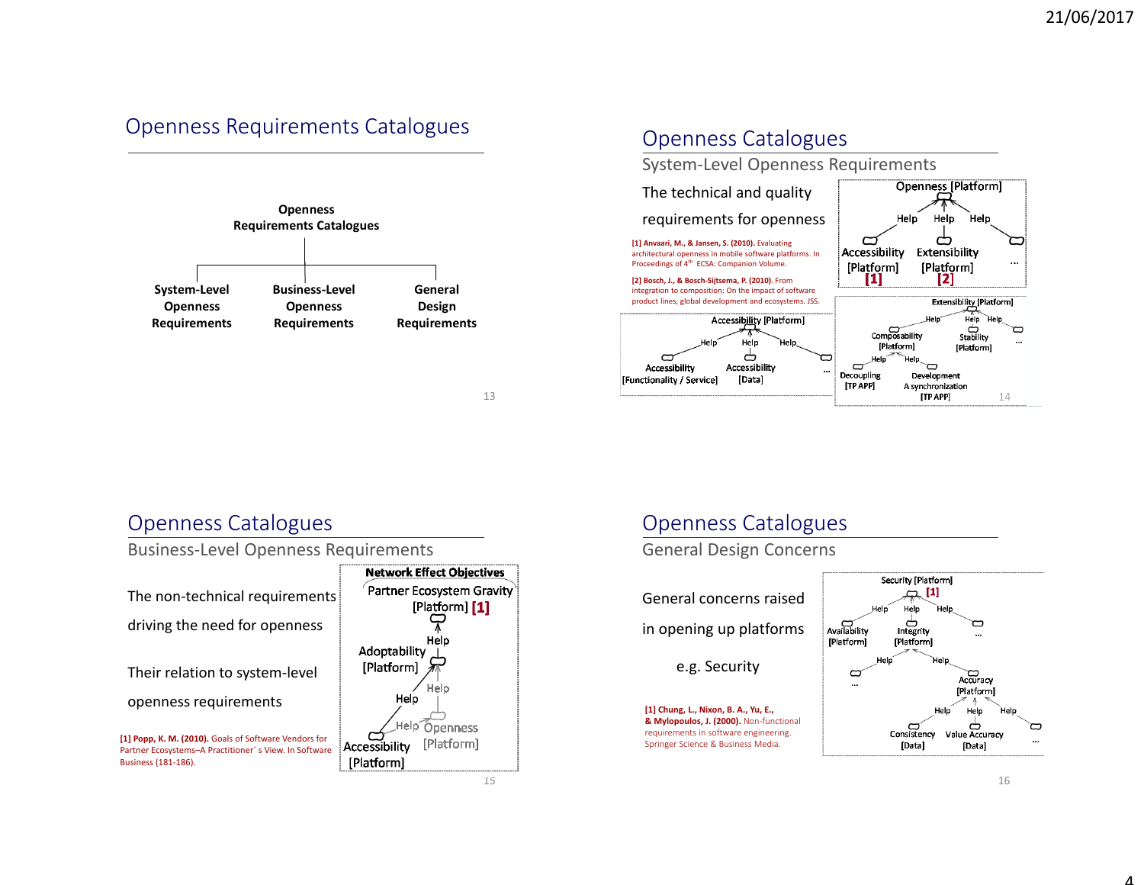# Openness Requirements Catalogues





#### Openness Catalogues System‐Level Openness Requirements Openness [Platform] The technical and quality requirements for openness Help Help **Help**  $\overline{\mathbf{C}}$ ط **[1] Anvaari, M., & Jansen, S. (2010).** Evaluating Accessibility Extensibility architectural openness in mobile software platforms. In Proceedings of 4th ECSA: Companion Volume. [Platform] [Platform] [1] **[2] Bosch, J., & Bosch‐Sijtsema, P. (2010)**. From integration to composition: On the impact of software product lines, global development and ecosystems. JSS. **Extensibility [Platform]** Accessibility [Platform] Help Composability ط<br>Stability  $\subset$ Help [Platform] [Platform] ക D Accessibility Accessibility  $\Box$ Decoupling Development [Data] [Functionality / Service] [TP APP] A synchronization [TP APP] 14

## Openness Catalogues

Business‐Level Openness Requirements



## Openness Catalogues

General Design Concerns

General concerns raisedin opening up platforms e.g. Security **[1] Chung, L., Nixon, B. A., Yu, E., & Mylopoulos, J. (2000).** Non‐functional requirements in software engineering. Springer Science & Business Media.

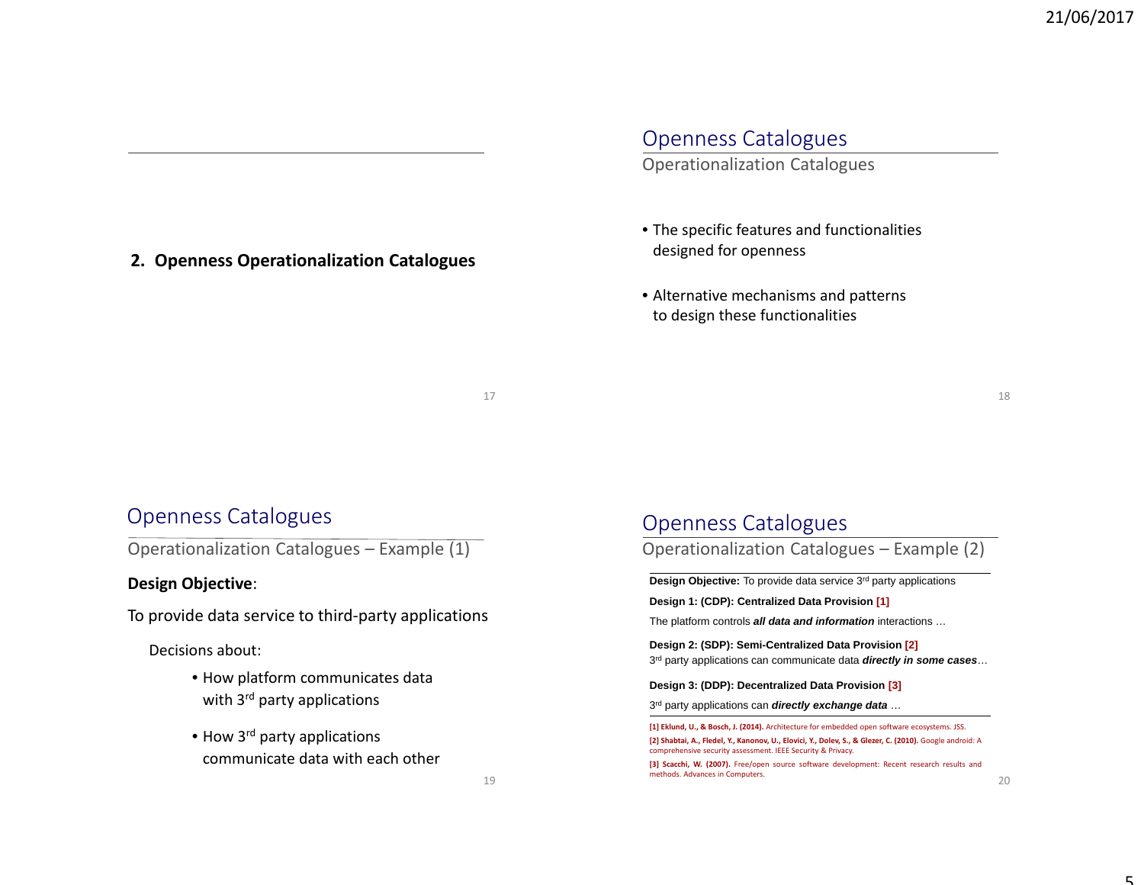# Openness Catalogues

Operationalization Catalogues

- The specific features and functionalities designed for openness
- Alternative mechanisms and patterns to design these functionalities

18

#### Openness Catalogues

Operationalization Catalogues – Example (1)

**2. Openness Operationalization Catalogues**

#### **Design Objective**:

To provide data service to third‐party applications

Decisions about:

- How platform communicates data with 3<sup>rd</sup> party applications
- How 3<sup>rd</sup> party applications communicate data with each other

#### Openness Catalogues

Operationalization Catalogues – Example (2)

**Design Objective:** To provide data service 3rd party applications

**Design 1: (CDP): Centralized Data Provision [1]**

The platform controls *all data and information* interactions …

**Design 2: (SDP): Semi-Centralized Data Provision [2]** 3r<sup>d</sup> party applications can communicate data *directly in some cases*…

**Design 3: (DDP): Decentralized Data Provision [3]**

3r<sup>d</sup> party applications can *directly exchange data* …

**[3] Scacchi, W. (2007).** Free/open source software development: Recent research results and methods. Advances in Computers.

**<sup>[1]</sup> Eklund, U., & Bosch, J. (2014).** Architecture for embedded open software ecosystems. JSS. **[2] Shabtai, A., Fledel, Y., Kanonov, U., Elovici, Y., Dolev, S., & Glezer, C. (2010).** Google android: A comprehensive security assessment. IEEE Security & Privacy.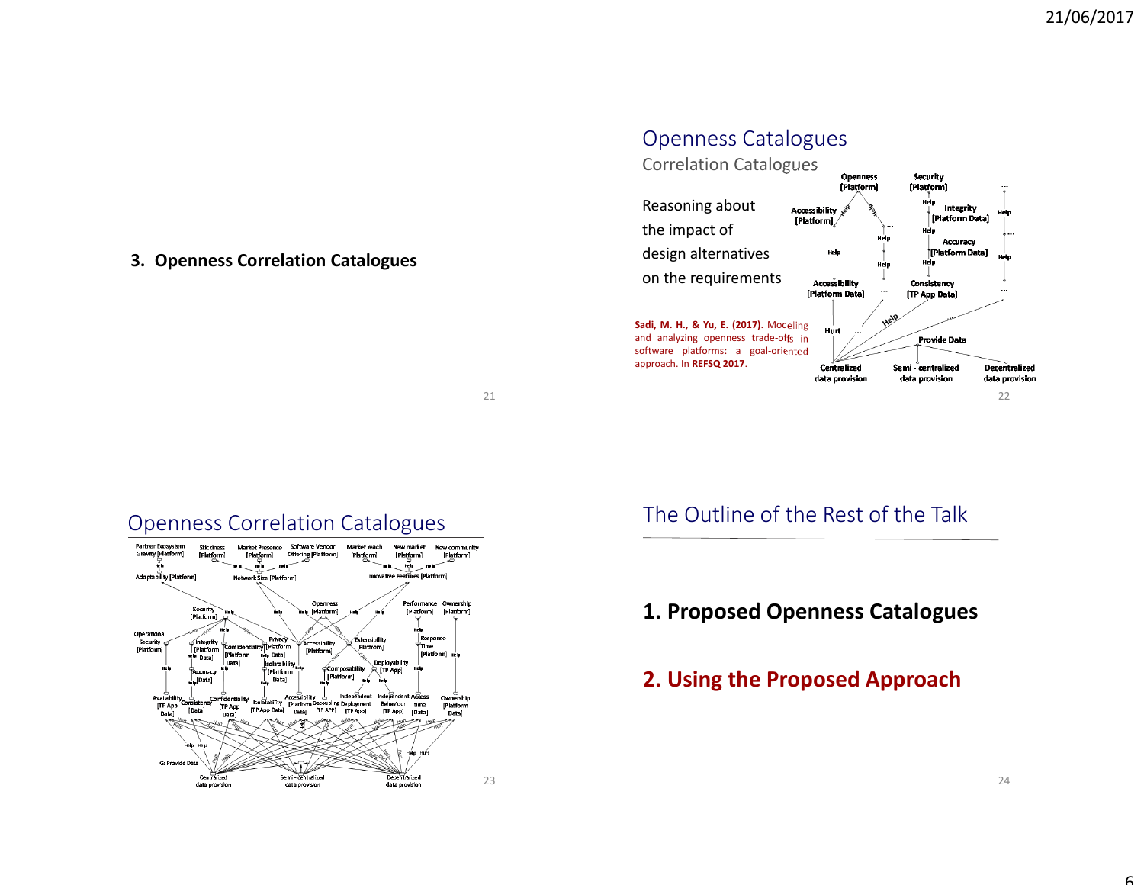#### **3. Openness Correlation Catalogues**

#### Openness Catalogues



21

#### Openness Correlation Catalogues



# The Outline of the Rest of the Talk

# **1. Proposed Openness Catalogues**

## **2. Using the Proposed Approach**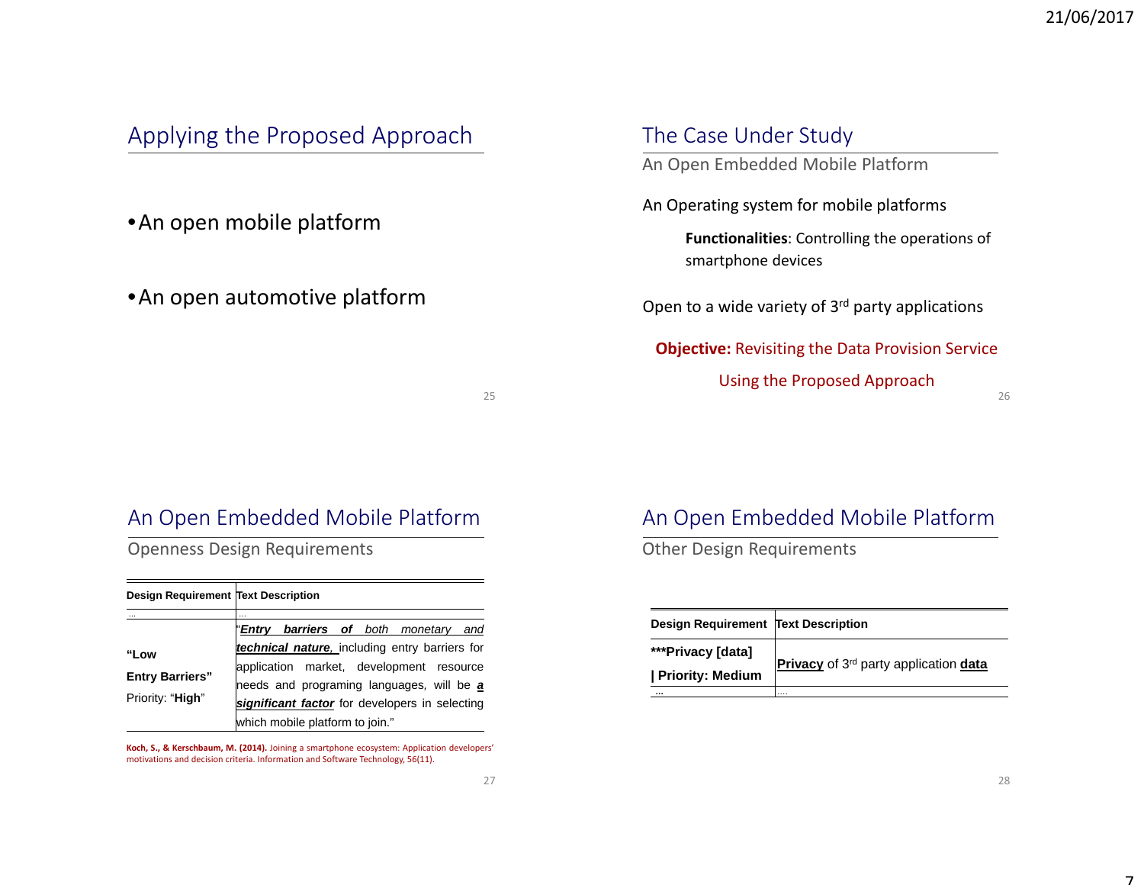# Applying the Proposed Approach

•An open mobile platform

•An open automotive platform

#### The Case Under Study

An Open Embedded Mobile Platform

An Operating system for mobile platforms

**Functionalities**: Controlling the operations of smartphone devices

Open to a wide variety of 3<sup>rd</sup> party applications

**Objective:** Revisiting the Data Provision Service Using the Proposed Approach

25

## An Open Embedded Mobile Platform

Openness Design Requirements

| <b>Design Requirement Text Description</b>         |                                                                                                                                                                                                                              |  |  |  |
|----------------------------------------------------|------------------------------------------------------------------------------------------------------------------------------------------------------------------------------------------------------------------------------|--|--|--|
| "Low<br><b>Entry Barriers"</b><br>Priority: "High" | <br>" <b>Entry barriers of</b> both monetary and                                                                                                                                                                             |  |  |  |
|                                                    | technical nature, including entry barriers for<br>application market, development resource<br>needs and programing languages, will be a<br>significant factor for developers in selecting<br>which mobile platform to join." |  |  |  |

**Koch, S., & Kerschbaum, M. (2014).** Joining <sup>a</sup> smartphone ecosystem: Application developers' motivations and decision criteria. Information and Software Technology, 56(11).

# An Open Embedded Mobile Platform

Other Design Requirements

| Design Requirement Text Description     |                                                   |  |  |  |
|-----------------------------------------|---------------------------------------------------|--|--|--|
| ***Privacy [data]<br>  Priority: Medium | Privacy of 3 <sup>rd</sup> party application data |  |  |  |
|                                         |                                                   |  |  |  |

26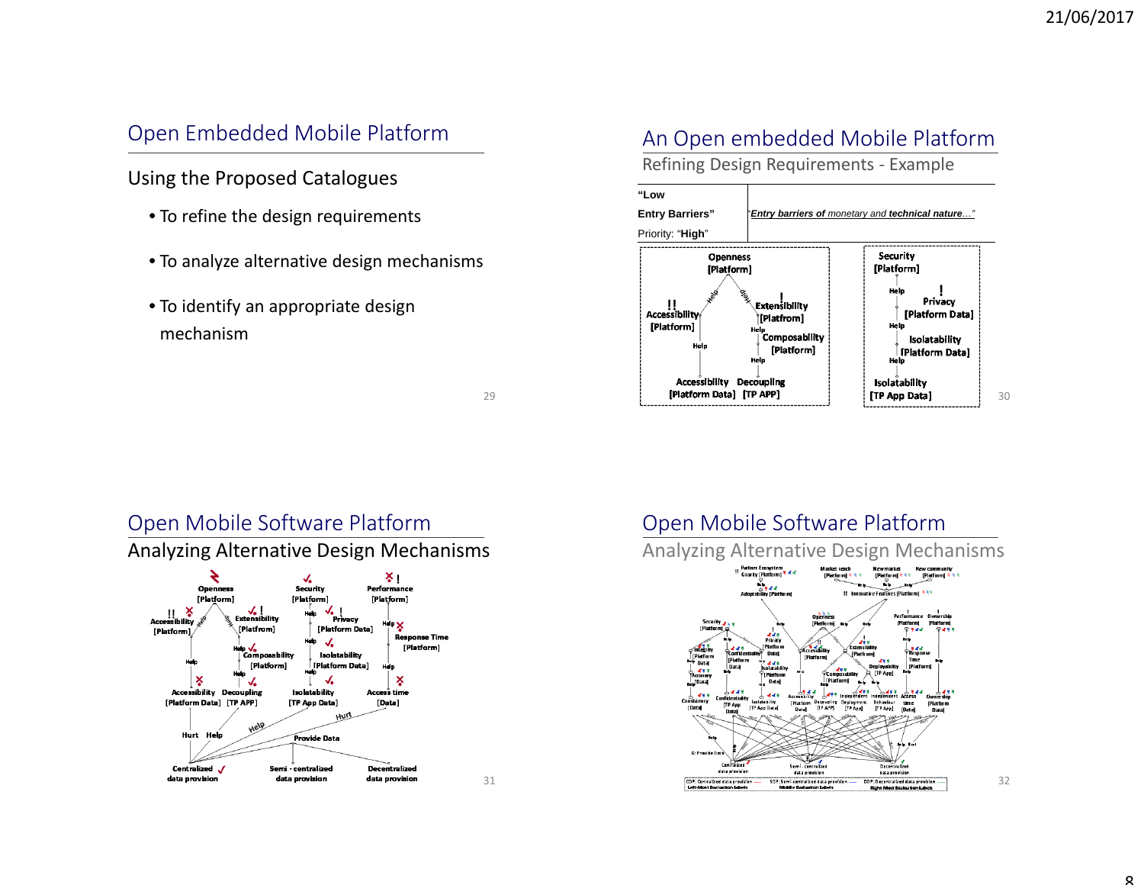## Open Embedded Mobile Platform

Using the Proposed Catalogues

- To refine the design requirements
- To analyze alternative design mechanisms
- To identify an appropriate design mechanism

### An Open embedded Mobile Platform

Refining Design Requirements ‐ Example

#### **"Low**

**Entry Barriers"**  "*Entry barriers of monetary and technical nature…"*



29

31

## Open Mobile Software Platform

Analyzing Alternative Design Mechanisms



# Open Mobile Software Platform

Analyzing Alternative Design Mechanisms

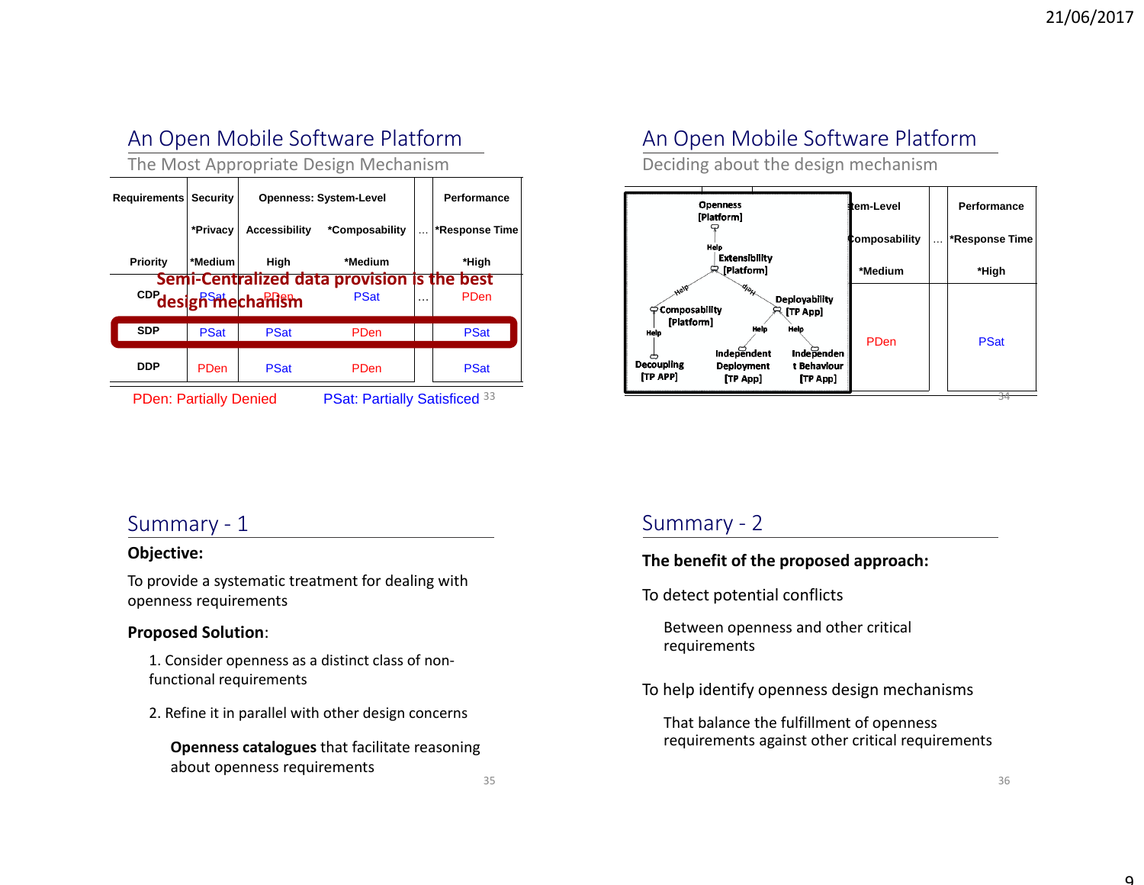# An Open Mobile Software Platform

The Most Appropriate Design Mechanism

| Requirements                  | <b>Security</b> | <b>Openness: System-Level</b>    |                                                            |          | Performance    |
|-------------------------------|-----------------|----------------------------------|------------------------------------------------------------|----------|----------------|
|                               | *Privacy        | <b>Accessibility</b>             | *Composability                                             | $\cdots$ | *Response Time |
| Priority                      | *Medium         | High                             | *Medium                                                    |          | *High          |
|                               |                 | c <sub>DP</sub> design mechanism | Semi-Centralized data provision is the best<br><b>PSat</b> | $\cdots$ | PDen           |
| <b>SDP</b>                    | <b>PSat</b>     | <b>PSat</b>                      | PDen                                                       |          | <b>PSat</b>    |
| DDP                           | PDen            | <b>PSat</b>                      | PDen                                                       |          | <b>PSat</b>    |
| <b>PDen: Partially Denied</b> |                 |                                  | PSat: Partially Satisficed 33                              |          |                |

An Open Mobile Software Platform

Deciding about the design mechanism



#### Summary ‐ 1

#### **Objective:**

To provide <sup>a</sup> systematic treatment for dealing with openness requirements

#### **Proposed Solution**:

1. Consider openness as <sup>a</sup> distinct class of non‐ functional requirements

2. Refine it in parallel with other design concerns

**Openness catalogues** that facilitate reasoning about openness requirements

## Summary ‐ 2

#### **The benefit of the proposed approach:**

To detect potential conflicts

Between openness and other critical requirements

To help identify openness design mechanisms

That balance the fulfillment of openness requirements against other critical requirements